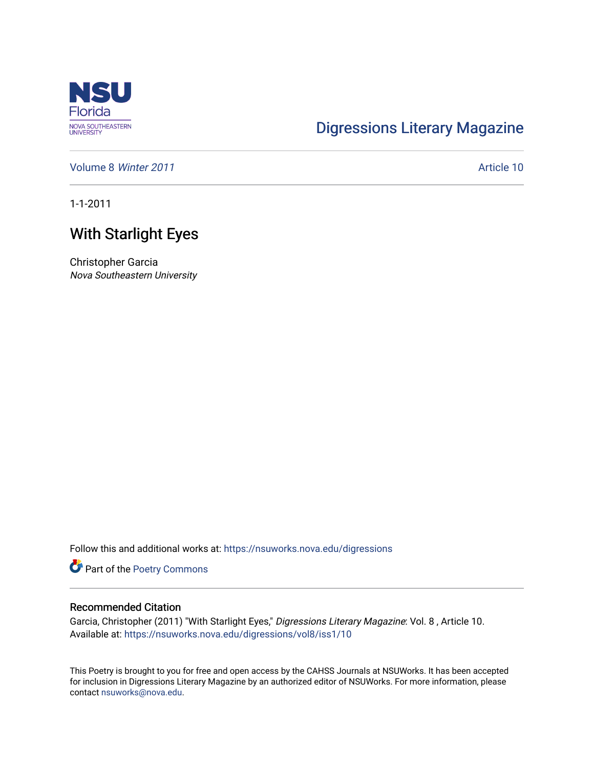

## [Digressions Literary Magazine](https://nsuworks.nova.edu/digressions)

[Volume 8](https://nsuworks.nova.edu/digressions/vol8) Winter 2011 **Article 10** Article 10

1-1-2011

## With Starlight Eyes

Christopher Garcia Nova Southeastern University

Follow this and additional works at: [https://nsuworks.nova.edu/digressions](https://nsuworks.nova.edu/digressions?utm_source=nsuworks.nova.edu%2Fdigressions%2Fvol8%2Fiss1%2F10&utm_medium=PDF&utm_campaign=PDFCoverPages) 

Part of the [Poetry Commons](http://network.bepress.com/hgg/discipline/1153?utm_source=nsuworks.nova.edu%2Fdigressions%2Fvol8%2Fiss1%2F10&utm_medium=PDF&utm_campaign=PDFCoverPages) 

## Recommended Citation

Garcia, Christopher (2011) "With Starlight Eyes," Digressions Literary Magazine: Vol. 8 , Article 10. Available at: [https://nsuworks.nova.edu/digressions/vol8/iss1/10](https://nsuworks.nova.edu/digressions/vol8/iss1/10?utm_source=nsuworks.nova.edu%2Fdigressions%2Fvol8%2Fiss1%2F10&utm_medium=PDF&utm_campaign=PDFCoverPages) 

This Poetry is brought to you for free and open access by the CAHSS Journals at NSUWorks. It has been accepted for inclusion in Digressions Literary Magazine by an authorized editor of NSUWorks. For more information, please contact [nsuworks@nova.edu.](mailto:nsuworks@nova.edu)